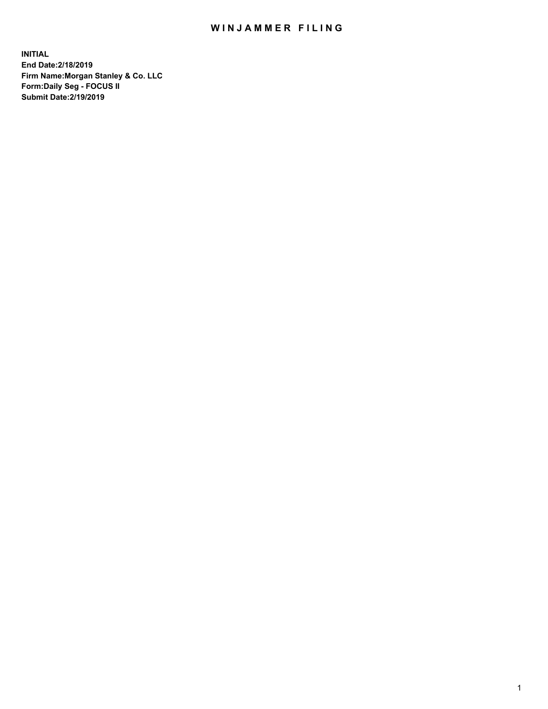## WIN JAMMER FILING

**INITIAL End Date:2/18/2019 Firm Name:Morgan Stanley & Co. LLC Form:Daily Seg - FOCUS II Submit Date:2/19/2019**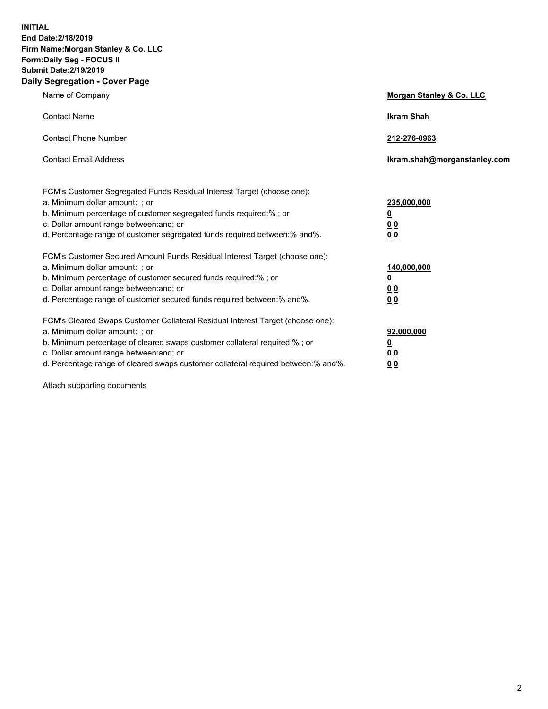**INITIAL End Date:2/18/2019 Firm Name:Morgan Stanley & Co. LLC Form:Daily Seg - FOCUS II Submit Date:2/19/2019 Daily Segregation - Cover Page**

| Name of Company                                                                   | Morgan Stanley & Co. LLC     |
|-----------------------------------------------------------------------------------|------------------------------|
| <b>Contact Name</b>                                                               | <b>Ikram Shah</b>            |
| <b>Contact Phone Number</b>                                                       | 212-276-0963                 |
| <b>Contact Email Address</b>                                                      | Ikram.shah@morganstanley.com |
| FCM's Customer Segregated Funds Residual Interest Target (choose one):            |                              |
| a. Minimum dollar amount: ; or                                                    | 235,000,000                  |
| b. Minimum percentage of customer segregated funds required:% ; or                | <u>0</u>                     |
| c. Dollar amount range between: and; or                                           | <u>0 0</u>                   |
| d. Percentage range of customer segregated funds required between: % and %.       | 0 Q                          |
| FCM's Customer Secured Amount Funds Residual Interest Target (choose one):        |                              |
| a. Minimum dollar amount: ; or                                                    | 140,000,000                  |
| b. Minimum percentage of customer secured funds required:%; or                    | <u>0</u>                     |
| c. Dollar amount range between: and; or                                           | 0 <sub>0</sub>               |
| d. Percentage range of customer secured funds required between:% and%.            | 0 <sub>0</sub>               |
| FCM's Cleared Swaps Customer Collateral Residual Interest Target (choose one):    |                              |
| a. Minimum dollar amount: ; or                                                    | 92,000,000                   |
| b. Minimum percentage of cleared swaps customer collateral required:% ; or        | <u>0</u>                     |
| c. Dollar amount range between: and; or                                           | 0 Q                          |
| d. Percentage range of cleared swaps customer collateral required between:% and%. | 00                           |

Attach supporting documents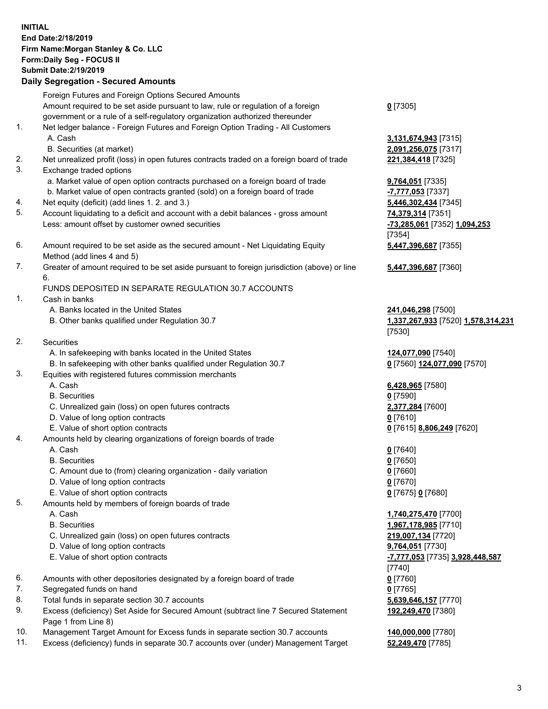## **INITIAL End Date:2/18/2019 Firm Name:Morgan Stanley & Co. LLC Form:Daily Seg - FOCUS II Submit Date:2/19/2019 Daily Segregation - Secured Amounts**

Foreign Futures and Foreign Options Secured Amounts Amount required to be set aside pursuant to law, rule or regulation of a foreign government or a rule of a self-regulatory organization authorized thereunder

- 1. Net ledger balance Foreign Futures and Foreign Option Trading All Customers A. Cash **3,131,674,943** [7315]
	- B. Securities (at market) **2,091,256,075** [7317]
- 2. Net unrealized profit (loss) in open futures contracts traded on a foreign board of trade **221,384,418** [7325]
- 3. Exchange traded options
	- a. Market value of open option contracts purchased on a foreign board of trade **9,764,051** [7335]
	- b. Market value of open contracts granted (sold) on a foreign board of trade **-7,777,053** [7337]
- 4. Net equity (deficit) (add lines 1. 2. and 3.) **5,446,302,434** [7345]
- 5. Account liquidating to a deficit and account with a debit balances gross amount **74,379,314** [7351] Less: amount offset by customer owned securities **-73,285,061** [7352] **1,094,253**
- 6. Amount required to be set aside as the secured amount Net Liquidating Equity Method (add lines 4 and 5)
- 7. Greater of amount required to be set aside pursuant to foreign jurisdiction (above) or line 6.

## FUNDS DEPOSITED IN SEPARATE REGULATION 30.7 ACCOUNTS

- 1. Cash in banks
	- A. Banks located in the United States **241,046,298** [7500]
	- B. Other banks qualified under Regulation 30.7 **1,337,267,933** [7520] **1,578,314,231**
- 2. Securities
	- A. In safekeeping with banks located in the United States **124,077,090** [7540]
	- B. In safekeeping with other banks qualified under Regulation 30.7 **0** [7560] **124,077,090** [7570]
- 3. Equities with registered futures commission merchants
	-
	- B. Securities **0** [7590]
	- C. Unrealized gain (loss) on open futures contracts **2,377,284** [7600]
	- D. Value of long option contracts **0** [7610]
- E. Value of short option contracts **0** [7615] **8,806,249** [7620]
- 4. Amounts held by clearing organizations of foreign boards of trade
	- A. Cash **0** [7640]
	- B. Securities **0** [7650]
	- C. Amount due to (from) clearing organization daily variation **0** [7660]
	- D. Value of long option contracts **0** [7670]
	- E. Value of short option contracts **0** [7675] **0** [7680]
- 5. Amounts held by members of foreign boards of trade
	-
	-
	- C. Unrealized gain (loss) on open futures contracts **219,007,134** [7720]
	- D. Value of long option contracts **9,764,051** [7730]
	- E. Value of short option contracts **-7,777,053** [7735] **3,928,448,587**
- 6. Amounts with other depositories designated by a foreign board of trade **0** [7760]
- 7. Segregated funds on hand **0** [7765]
- 8. Total funds in separate section 30.7 accounts **5,639,646,157** [7770]
- 9. Excess (deficiency) Set Aside for Secured Amount (subtract line 7 Secured Statement Page 1 from Line 8)
- 10. Management Target Amount for Excess funds in separate section 30.7 accounts **140,000,000** [7780]
- 11. Excess (deficiency) funds in separate 30.7 accounts over (under) Management Target **52,249,470** [7785]

**0** [7305]

[7354] **5,447,396,687** [7355]

**5,447,396,687** [7360]

[7530]

A. Cash **6,428,965** [7580]

 A. Cash **1,740,275,470** [7700] B. Securities **1,967,178,985** [7710] [7740] **192,249,470** [7380]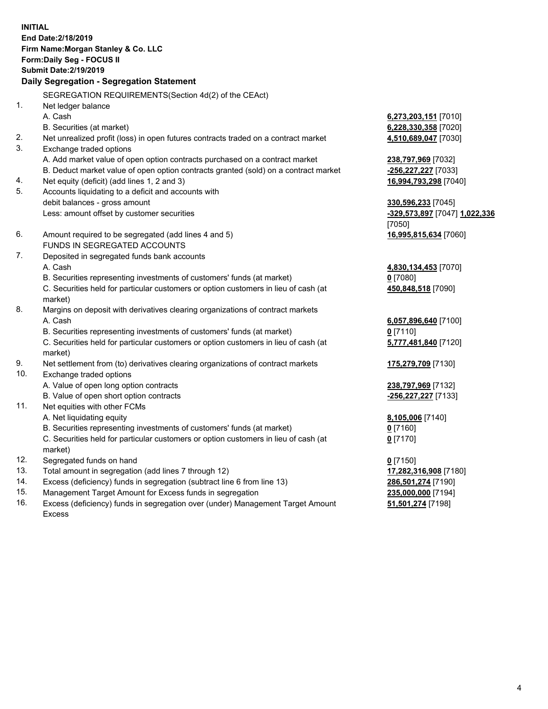**INITIAL End Date:2/18/2019 Firm Name:Morgan Stanley & Co. LLC Form:Daily Seg - FOCUS II Submit Date:2/19/2019 Daily Segregation - Segregation Statement** SEGREGATION REQUIREMENTS(Section 4d(2) of the CEAct) 1. Net ledger balance A. Cash **6,273,203,151** [7010] B. Securities (at market) **6,228,330,358** [7020] 2. Net unrealized profit (loss) in open futures contracts traded on a contract market **4,510,689,047** [7030] 3. Exchange traded options A. Add market value of open option contracts purchased on a contract market **238,797,969** [7032] B. Deduct market value of open option contracts granted (sold) on a contract market **-256,227,227** [7033] 4. Net equity (deficit) (add lines 1, 2 and 3) **16,994,793,298** [7040] 5. Accounts liquidating to a deficit and accounts with debit balances - gross amount **330,596,233** [7045] Less: amount offset by customer securities **-329,573,897** [7047] **1,022,336** [7050] 6. Amount required to be segregated (add lines 4 and 5) **16,995,815,634** [7060] FUNDS IN SEGREGATED ACCOUNTS 7. Deposited in segregated funds bank accounts A. Cash **4,830,134,453** [7070] B. Securities representing investments of customers' funds (at market) **0** [7080] C. Securities held for particular customers or option customers in lieu of cash (at market) **450,848,518** [7090] 8. Margins on deposit with derivatives clearing organizations of contract markets A. Cash **6,057,896,640** [7100] B. Securities representing investments of customers' funds (at market) **0** [7110] C. Securities held for particular customers or option customers in lieu of cash (at market) **5,777,481,840** [7120] 9. Net settlement from (to) derivatives clearing organizations of contract markets **175,279,709** [7130] 10. Exchange traded options A. Value of open long option contracts **238,797,969** [7132] B. Value of open short option contracts **-256,227,227** [7133] 11. Net equities with other FCMs A. Net liquidating equity **8,105,006** [7140] B. Securities representing investments of customers' funds (at market) **0** [7160] C. Securities held for particular customers or option customers in lieu of cash (at market) **0** [7170] 12. Segregated funds on hand **0** [7150] 13. Total amount in segregation (add lines 7 through 12) **17,282,316,908** [7180] 14. Excess (deficiency) funds in segregation (subtract line 6 from line 13) **286,501,274** [7190]

- 15. Management Target Amount for Excess funds in segregation **235,000,000** [7194]
- 16. Excess (deficiency) funds in segregation over (under) Management Target Amount Excess

**51,501,274** [7198]